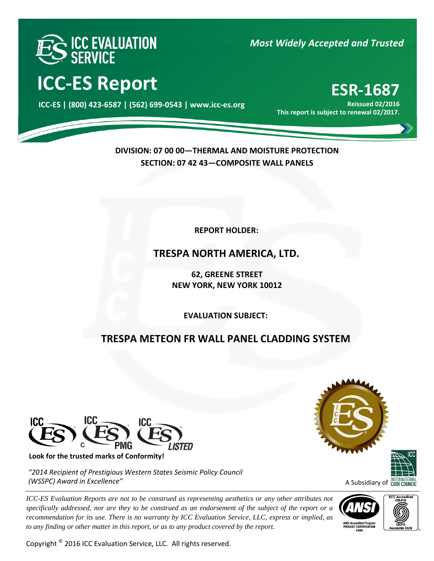

# **ICC‐ES Report ESR‐<sup>1687</sup>**

000 **ICC‐ES | (800) 423‐6587 | (562) 699‐0543 | www.icc‐es.org**

### *Most Widely Accepted and Trusted*

**Reissued 02/2016 This report is subject to renewal 02/2017.**

**DIVISION: 07 00 00—THERMAL AND MOISTURE PROTECTION SECTION: 07 42 43—COMPOSITE WALL PANELS** 

**REPORT HOLDER:** 

### **TRESPA NORTH AMERICA, LTD.**

**62, GREENE STREET NEW YORK, NEW YORK 10012**

j **EVALUATION SUBJECT:**

## **TRESPA METEON FR WALL PANEL CLADDING SYSTEM**



**Look for the trusted marks of Conformity!** 

*"2014 Recipient of Prestigious Western States Seismic Policy Council (WSSPC) Award in Excellence"*

*ICC-ES Evaluation Reports are not to be construed as representing aesthetics or any other attributes not specifically addressed, nor are they to be construed as an endorsement of the subject of the report or a recommendation for its use. There is no warranty by ICC Evaluation Service, LLC, express or implied, as to any finding or other matter in this report, or as to any product covered by the report.*

Copyright © 2016 ICC Evaluation Service, LLC. All rights reserved.





## A Subsidiary of **CODE COUNCIL**



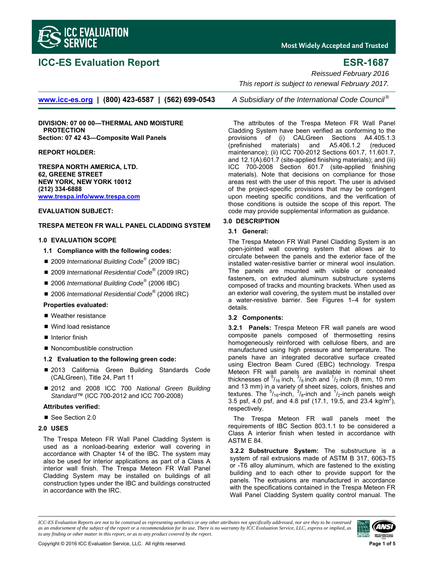

### **ICC-ES Evaluation Report ESR-1687**

**Most Widely Accepted and Trusted** 

*Reissued February 2016* 

 *This report is subject to renewal February 2017.* 

**www.icc-es.org | (800) 423-6587 | (562) 699-0543** *A Subsidiary of the International Code Council ®*

**DIVISION: 07 00 00—THERMAL AND MOISTURE PROTECTION Section: 07 42 43—Composite Wall Panels** 

**REPORT HOLDER:** 

**TRESPA NORTH AMERICA, LTD. 62, GREENE STREET NEW YORK, NEW YORK 10012 (212) 334-6888 www.trespa.info/www.trespa.com**

#### **EVALUATION SUBJECT:**

#### **TRESPA METEON FR WALL PANEL CLADDING SYSTEM**

#### **1.0 EVALUATION SCOPE**

- **1.1 Compliance with the following codes:**
- 2009 *International Building Code<sup>®</sup>* (2009 IBC)
- 2009 *International Residential Code*<sup>®</sup> (2009 IRC)
- 2006 *International Building Code<sup>®</sup> (2006 IBC)*
- 2006 *International Residential Code*<sup>®</sup> (2006 IRC)

#### **Properties evaluated:**

- Weather resistance
- Wind load resistance
- $\blacksquare$  Interior finish
- Noncombustible construction

#### **1.2 Evaluation to the following green code:**

- 2013 California Green Building Standards Code (CALGreen), Title 24, Part 11
- 2012 and 2008 ICC 700 *National Green Building Standard*™ (ICC 700-2012 and ICC 700-2008)

#### **Attributes verified:**

■ See Section 2.0

#### **2.0 USES**

The Trespa Meteon FR Wall Panel Cladding System is used as a nonload-bearing exterior wall covering in accordance with Chapter 14 of the IBC. The system may also be used for interior applications as part of a Class A interior wall finish. The Trespa Meteon FR Wall Panel Cladding System may be installed on buildings of all construction types under the IBC and buildings constructed in accordance with the IRC.

The attributes of the Trespa Meteon FR Wall Panel Cladding System have been verified as conforming to the provisions of (i) CALGreen Sections A4.405.1.3

(prefinished materials) and A5.406.1.2 (reduced maintenance); (ii) ICC 700-2012 Sections 601.7, 11.601.7, and 12.1(A).601.7 (site-applied finishing materials); and (iii) ICC 700-2008 Section 601.7 (site-applied finishing materials). Note that decisions on compliance for those areas rest with the user of this report. The user is advised of the project-specific provisions that may be contingent upon meeting specific conditions, and the verification of those conditions is outside the scope of this report. The code may provide supplemental information as guidance.

#### **3.0 DESCRIPTION**

#### **3.1 General:**

The Trespa Meteon FR Wall Panel Cladding System is an open-jointed wall covering system that allows air to circulate between the panels and the exterior face of the installed water-resistive barrier or mineral wool insulation. The panels are mounted with visible or concealed fasteners, on extruded aluminum substructure systems composed of tracks and mounting brackets. When used as an exterior wall covering, the system must be installed over a water-resistive barrier. See Figures 1–4 for system details.

#### **3.2 Components:**

**3.2.1 Panels:** Trespa Meteon FR wall panels are wood composite panels composed of thermosetting resins homogeneously reinforced with cellulose fibers, and are manufactured using high pressure and temperature. The panels have an integrated decorative surface created using Electron Beam Cured (EBC) technology. Trespa Meteon FR wall panels are available in nominal sheet thicknesses of  $5/16$  inch,  $3/8$  inch and  $1/2$  inch (8 mm, 10 mm and 13 mm) in a variety of sheet sizes, colors, finishes and textures. The  $5/16$ -inch,  $3/8$ -inch and  $1/2$ -inch panels weigh 3.5 psf, 4.0 psf, and 4.8 psf (17.1, 19.5, and 23.4 kg/m<sup>2</sup>), respectively.

The Trespa Meteon FR wall panels meet the requirements of IBC Section 803.1.1 to be considered a Class A interior finish when tested in accordance with ASTM E 84.

**3.2.2 Substructure System:** The substructure is a system of rail extrusions made of ASTM B 317, 6063-T5 or -T6 alloy aluminum, which are fastened to the existing building and to each other to provide support for the panels. The extrusions are manufactured in accordance with the specifications contained in the Trespa Meteon FR Wall Panel Cladding System quality control manual. The

*ICC-ES Evaluation Reports are not to be construed as representing aesthetics or any other attributes not specifically addressed, nor are they to be construed as an endorsement of the subject of the report or a recommendation for its use. There is no warranty by ICC Evaluation Service, LLC, express or implied, as to any finding or other matter in this report, or as to any product covered by the report.*

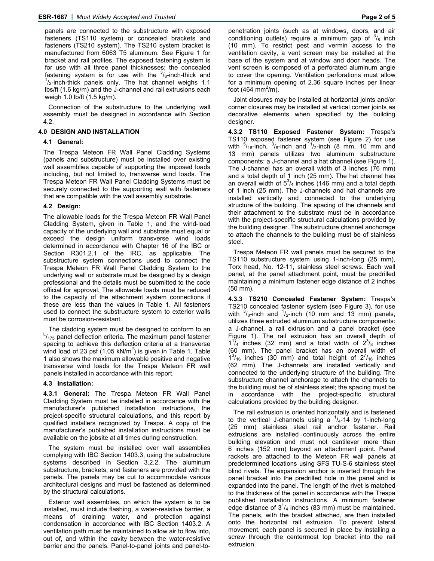panels are connected to the substructure with exposed fasteners (TS110 system) or concealed brackets and fasteners (TS210 system). The TS210 system bracket is manufactured from 6063 T5 aluminum. See Figure 1 for bracket and rail profiles. The exposed fastening system is for use with all three panel thicknesses; the concealed fastening system is for use with the  $\frac{3}{6}$ -inch-thick and  $\frac{1}{1}$  inch thick angle only. The het obenefly weighe 1.1  $\frac{1}{2}$ -inch-thick panels only. The hat channel weighs 1.1 lbs/ft (1.6 kg/m) and the J-channel and rail extrusions each weigh 1.0 lb/ft (1.5 kg/m).

Connection of the substructure to the underlying wall assembly must be designed in accordance with Section 4.2.

#### **4.0 DESIGN AND INSTALLATION**

#### **4.1 General:**

The Trespa Meteon FR Wall Panel Cladding Systems (panels and substructure) must be installed over existing wall assemblies capable of supporting the imposed loads including, but not limited to, transverse wind loads. The Trespa Meteon FR Wall Panel Cladding Systems must be securely connected to the supporting wall with fasteners that are compatible with the wall assembly substrate.

#### **4.2 Design:**

The allowable loads for the Trespa Meteon FR Wall Panel Cladding System, given in Table 1, and the wind-load capacity of the underlying wall and substrate must equal or exceed the design uniform transverse wind loads determined in accordance with Chapter 16 of the IBC or Section R301.2.1 of the IRC, as applicable. The substructure system connections used to connect the Trespa Meteon FR Wall Panel Cladding System to the underlying wall or substrate must be designed by a design professional and the details must be submitted to the code official for approval. The allowable loads must be reduced to the capacity of the attachment system connections if these are less than the values in Table 1. All fasteners used to connect the substructure system to exterior walls must be corrosion-resistant.

The cladding system must be designed to conform to an  $\frac{L}{175}$  panel deflection criteria. The maximum panel fastener spacing to achieve this deflection criteria at a transverse wind load of 23 psf (1.05 kN/m<sup>2</sup>) is given in Table 1. Table 1 also shows the maximum allowable positive and negative transverse wind loads for the Trespa Meteon FR wall panels installed in accordance with this report.

#### **4.3 Installation:**

**4.3.1 General:** The Trespa Meteon FR Wall Panel Cladding System must be installed in accordance with the manufacturer's published installation instructions, the project-specific structural calculations, and this report by qualified installers recognized by Trespa. A copy of the manufacturer's published installation instructions must be available on the jobsite at all times during construction.

The system must be installed over wall assemblies complying with IBC Section 1403.3, using the substructure systems described in Section 3.2.2. The aluminum substructure, brackets, and fasteners are provided with the panels. The panels may be cut to accommodate various architectural designs and must be fastened as determined by the structural calculations.

Exterior wall assemblies, on which the system is to be installed, must include flashing, a water-resistive barrier, a means of draining water, and protection against condensation in accordance with IBC Section 1403.2. A ventilation path must be maintained to allow air to flow into, out of, and within the cavity between the water-resistive barrier and the panels. Panel-to-panel joints and panel-to-

penetration joints (such as at windows, doors, and air conditioning outlets) require a minimum gap of  $\frac{3}{8}$  inch (10 mm). To restrict pest and vermin access to the ventilation cavity, a vent screen may be installed at the base of the system and at window and door heads. The vent screen is composed of a perforated aluminum angle to cover the opening. Ventilation perforations must allow for a minimum opening of 2.36 square inches per linear foot (464 mm $^2$ /m).

Joint closures may be installed at horizontal joints and/or corner closures may be installed at vertical corner joints as decorative elements when specified by the building designer.

**4.3.2 TS110 Exposed Fastener System:** Trespa's TS110 exposed fastener system (see Figure 2) for use with  $5/16$ -inch,  $3/8$ -inch and  $1/2$ -inch (8 mm, 10 mm and 13 mm) panels utilizes two aluminum substructure components: a J-channel and a hat channel (see Figure 1). The J-channel has an overall width of 3 inches (76 mm) and a total depth of 1 inch (25 mm). The hat channel has an overall width of  $5^{3}/_{4}$  inches (146 mm) and a total depth of 1 inch (25 mm). The J-channels and hat channels are installed vertically and connected to the underlying structure of the building. The spacing of the channels and their attachment to the substrate must be in accordance with the project-specific structural calculations provided by the building designer. The substructure channel anchorage to attach the channels to the building must be of stainless steel.

Trespa Meteon FR wall panels must be secured to the TS110 substructure system using 1-inch-long (25 mm), Torx head, No. 12-11, stainless steel screws. Each wall panel, at the panel attachment point, must be predrilled maintaining a minimum fastener edge distance of 2 inches (50 mm).

**4.3.3 TS210 Concealed Fastener System:** Trespa's TS210 concealed fastener system (see Figure 3), for use with  $\frac{3}{8}$ -inch and  $\frac{1}{2}$ -inch (10 mm and 13 mm) panels, utilizes three extruded aluminum substructure components: a J-channel, a rail extrusion and a panel bracket (see Figure 1). The rail extrusion has an overall depth of  $1^{17}$ <sub>4</sub> inches (32 mm) and a total width of  $2^{3}/_8$  inches (60 mm). The panel bracket has an overall width of  $1^{3}/_{16}$  inches (30 mm) and total height of  $2^{7}/_{16}$  inches (62 mm). The J-channels are installed vertically and connected to the underlying structure of the building. The substructure channel anchorage to attach the channels to the building must be of stainless steel; the spacing must be in accordance with the project-specific structural calculations provided by the building designer.

The rail extrusion is oriented horizontally and is fastened to the vertical J-channels using a  $\frac{1}{4}$ -14 by 1-inch-long (25 mm) stainless steel rail anchor fastener. Rail extrusions are installed continuously across the entire building elevation and must not cantilever more than 6 inches (152 mm) beyond an attachment point. Panel rackets are attached to the Meteon FR wall panels at predetermined locations using SFS TU-S-6 stainless steel blind rivets. The expansion anchor is inserted through the panel bracket into the predrilled hole in the panel and is expanded into the panel. The length of the rivet is matched to the thickness of the panel in accordance with the Trespa published installation instructions. A minimum fastener edge distance of  $3^{1}/_{4}$  inches (83 mm) must be maintained. The panels, with the bracket attached, are then installed onto the horizontal rail extrusion. To prevent lateral movement, each panel is secured in place by installing a screw through the centermost top bracket into the rail extrusion.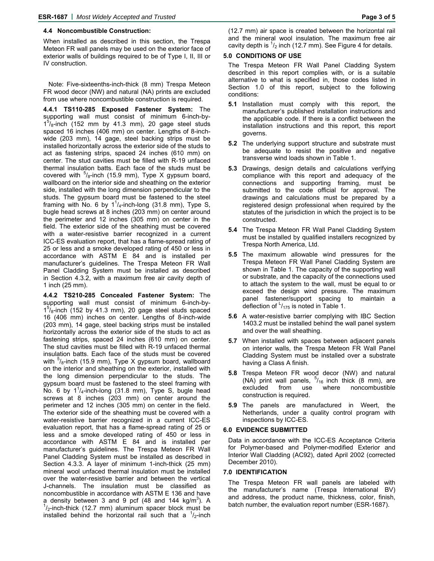#### **4.4 Noncombustible Construction:**

When installed as described in this section, the Trespa Meteon FR wall panels may be used on the exterior face of exterior walls of buildings required to be of Type I, II, III or IV construction.

Note: Five-sixteenths-inch-thick (8 mm) Trespa Meteon FR wood decor (NW) and natural (NA) prints are excluded from use where noncombustible construction is required.

**4.4.1 TS110-285 Exposed Fastener System:** The supporting wall must consist of minimum 6-inch-by- $1<sup>5</sup>/<sub>8</sub>$ -inch (152 mm by 41.3 mm), 20 gage steel studs spaced 16 inches (406 mm) on center. Lengths of 8-inchwide (203 mm), 14 gage, steel backing strips must be installed horizontally across the exterior side of the studs to act as fastening strips, spaced 24 inches (610 mm) on center. The stud cavities must be filled with R-19 unfaced thermal insulation batts. Each face of the studs must be covered with  $5/6$ -inch (15.9 mm), Type X gypsum board, wallboard on the interior side and sheathing on the exterior side, installed with the long dimension perpendicular to the studs. The gypsum board must be fastened to the steel framing with No. 6 by  $1^{1}/_{4}$ -inch-long (31.8 mm), Type S, bugle head screws at 8 inches (203 mm) on center around the perimeter and 12 inches (305 mm) on center in the field. The exterior side of the sheathing must be covered with a water-resistive barrier recognized in a current ICC-ES evaluation report, that has a flame-spread rating of 25 or less and a smoke developed rating of 450 or less in accordance with ASTM E 84 and is installed per manufacturer's guidelines. The Trespa Meteon FR Wall Panel Cladding System must be installed as described in Section 4.3.2, with a maximum free air cavity depth of 1 inch (25 mm).

**4.4.2 TS210-285 Concealed Fastener System:** The supporting wall must consist of minimum 6-inch-by- $1<sup>5</sup>/<sub>8</sub>$ -inch (152 by 41.3 mm), 20 gage steel studs spaced 16 (406 mm) inches on center. Lengths of 8-inch-wide (203 mm), 14 gage, steel backing strips must be installed horizontally across the exterior side of the studs to act as fastening strips, spaced 24 inches (610 mm) on center. The stud cavities must be filled with R-19 unfaced thermal insulation batts. Each face of the studs must be covered with  $5/8$ -inch (15.9 mm), Type X gypsum board, wallboard on the interior and sheathing on the exterior, installed with the long dimension perpendicular to the studs. The gypsum board must be fastened to the steel framing with No. 6 by  $1^{\frac{1}{4}}$ -inch-long (31.8 mm), Type S, bugle head screws at 8 inches (203 mm) on center around the perimeter and 12 inches (305 mm) on center in the field. The exterior side of the sheathing must be covered with a water-resistive barrier recognized in a current ICC-ES evaluation report, that has a flame-spread rating of 25 or less and a smoke developed rating of 450 or less in accordance with ASTM E 84 and is installed per manufacturer's guidelines. The Trespa Meteon FR Wall Panel Cladding System must be installed as described in Section 4.3.3. A layer of minimum 1-inch-thick (25 mm) mineral wool unfaced thermal insulation must be installed over the water-resistive barrier and between the vertical J-channels. The insulation must be classified as noncombustible in accordance with ASTM E 136 and have a density between 3 and 9 pcf (48 and 144 kg/m<sup>3</sup>). A  $\frac{1}{2}$  inch thick (42.7 mm) olympium appear block must be  $\frac{1}{2}$ -inch-thick (12.7 mm) aluminum spacer block must be installed behind the horizontal rail such that a  $\frac{1}{2}$ -inch (12.7 mm) air space is created between the horizontal rail and the mineral wool insulation. The maximum free air cavity depth is  $\frac{1}{2}$  inch (12.7 mm). See Figure 4 for details.

#### **5.0 CONDITIONS OF USE**

The Trespa Meteon FR Wall Panel Cladding System described in this report complies with, or is a suitable alternative to what is specified in, those codes listed in Section 1.0 of this report, subject to the following conditions:

- **5.1** Installation must comply with this report, the manufacturer's published installation instructions and the applicable code. If there is a conflict between the installation instructions and this report, this report governs.
- **5.2** The underlying support structure and substrate must be adequate to resist the positive and negative transverse wind loads shown in Table 1.
- **5.3** Drawings, design details and calculations verifying compliance with this report and adequacy of the connections and supporting framing, must be submitted to the code official for approval. The drawings and calculations must be prepared by a registered design professional when required by the statutes of the jurisdiction in which the project is to be constructed.
- **5.4** The Trespa Meteon FR Wall Panel Cladding System must be installed by qualified installers recognized by Trespa North America, Ltd.
- **5.5** The maximum allowable wind pressures for the Trespa Meteon FR Wall Panel Cladding System are shown in Table 1. The capacity of the supporting wall or substrate, and the capacity of the connections used to attach the system to the wall, must be equal to or exceed the design wind pressure. The maximum panel fastener/support spacing to maintain a deflection of  $\frac{L}{175}$  is noted in Table 1.
- **5.6** A water-resistive barrier complying with IBC Section 1403.2 must be installed behind the wall panel system and over the wall sheathing.
- **5.7** When installed with spaces between adjacent panels on interior walls, the Trespa Meteon FR Wall Panel Cladding System must be installed over a substrate having a Class A finish.
- **5.8** Trespa Meteon FR wood decor (NW) and natural (NA) print wall panels,  $5/16$  inch thick (8 mm), are excluded from use where noncombustible construction is required.
- **5.9** The panels are manufactured in Weert, the Netherlands, under a quality control program with inspections by ICC-ES.

#### **6.0 EVIDENCE SUBMITTED**

Data in accordance with the ICC-ES Acceptance Criteria for Polymer-based and Polymer-modified Exterior and Interior Wall Cladding (AC92), dated April 2002 (corrected December 2010).

#### **7.0 IDENTIFICATION**

The Trespa Meteon FR wall panels are labeled with the manufacturer's name (Trespa International BV) and address, the product name, thickness, color, finish, batch number, the evaluation report number (ESR-1687).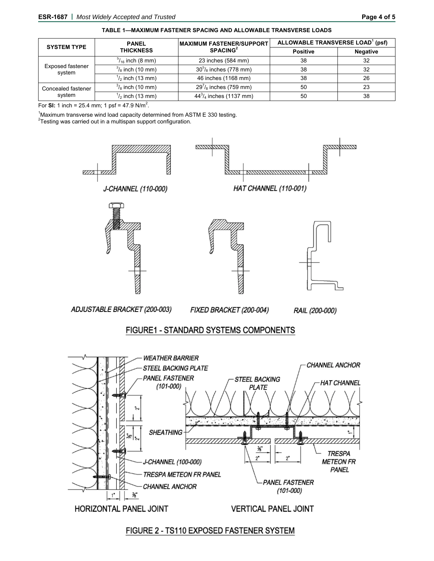| <b>SYSTEM TYPE</b>                | <b>PANEL</b><br><b>THICKNESS</b> | <b>MAXIMUM FASTENER/SUPPORT</b><br>SPACEING <sup>2</sup> | ALLOWABLE TRANSVERSE LOAD <sup>1</sup> (psf) |                 |
|-----------------------------------|----------------------------------|----------------------------------------------------------|----------------------------------------------|-----------------|
|                                   |                                  |                                                          | <b>Positive</b>                              | <b>Negative</b> |
| <b>Exposed fastener</b><br>system | $\frac{5}{16}$ inch (8 mm)       | 23 inches (584 mm)                                       | 38                                           | 32              |
|                                   | $\frac{3}{8}$ inch (10 mm)       | $30^{\circ}/_8$ inches (778 mm)                          | 38                                           | 32              |
|                                   | $\frac{1}{2}$ inch (13 mm)       | 46 inches (1168 mm)                                      | 38                                           | 26              |
| Concealed fastener<br>system      | $\frac{3}{8}$ inch (10 mm)       | $29^{7}/_8$ inches (759 mm)                              | 50                                           | 23              |
|                                   | $\frac{1}{2}$ inch (13 mm)       | $44^{3}/_{4}$ inches (1137 mm)                           | 50                                           | 38              |

**TABLE 1—MAXIMUM FASTENER SPACING AND ALLOWABLE TRANSVERSE LOADS**

For **SI:** 1 inch = 25.4 mm; 1 psf = 47.9 N/m<sup>2</sup>.

<sup>1</sup>Maximum transverse wind load capacity determined from ASTM E 330 testing.

**Testing was carried out in a multispan support configuration.** 



### FIGURE 2 - TS110 EXPOSED FASTENER SYSTEM